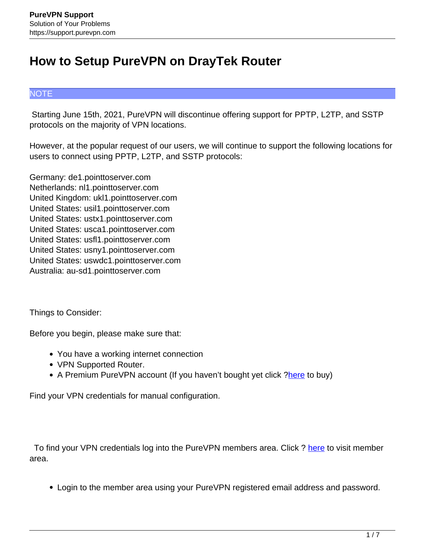## **How to Setup PureVPN on DrayTek Router**

## **NOTE**

 Starting June 15th, 2021, PureVPN will discontinue offering support for PPTP, L2TP, and SSTP protocols on the majority of VPN locations.

However, at the popular request of our users, we will continue to support the following locations for users to connect using PPTP, L2TP, and SSTP protocols:

Germany: de1.pointtoserver.com Netherlands: nl1.pointtoserver.com United Kingdom: ukl1.pointtoserver.com United States: usil1.pointtoserver.com United States: ustx1.pointtoserver.com United States: usca1.pointtoserver.com United States: usfl1.pointtoserver.com United States: usny1.pointtoserver.com United States: uswdc1.pointtoserver.com Australia: au-sd1.pointtoserver.com

Things to Consider:

Before you begin, please make sure that:

- You have a working internet connection
- VPN Supported Router.
- A Premium PureVPN account (If you haven't bought yet click [?here](https://billing.purevpn.com/aff.php?aff=16817) to buy)

Find your VPN credentials for manual configuration.

To find your VPN credentials log into the PureVPN members area. Click ? here to visit member area.

Login to the member area using your PureVPN registered email address and password.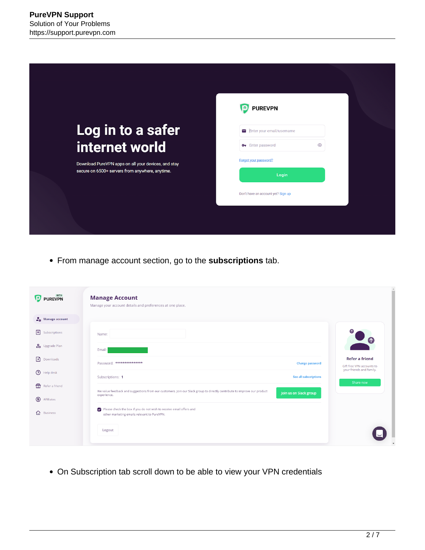|                                                                                                        | <b>PUREVPN</b>                           |
|--------------------------------------------------------------------------------------------------------|------------------------------------------|
| Log in to a safer                                                                                      | ► Enter your email/username              |
| internet world                                                                                         | $\odot$<br>O <sub>T</sub> Enter password |
| Download PureVPN apps on all your devices, and stay<br>secure on 6500+ servers from anywhere, anytime. | Forgot your password?                    |
|                                                                                                        | Login                                    |
|                                                                                                        | Don't have an account yet? Sign up       |
|                                                                                                        |                                          |

From manage account section, go to the **subscriptions** tab.

| PUREVPN                       | <b>Manage Account</b><br>Manage your account details and preferences at one place.                                       |                        |                                                    |
|-------------------------------|--------------------------------------------------------------------------------------------------------------------------|------------------------|----------------------------------------------------|
| $\frac{1}{40}$ Manage account |                                                                                                                          |                        |                                                    |
| 圓<br>Subscriptions            | Name:                                                                                                                    |                        |                                                    |
| $\frac{6}{20}$ Upgrade Plan   | Email:                                                                                                                   |                        |                                                    |
| $\mathbb{F}$<br>Downloads     | Password: ***************                                                                                                | <b>Change password</b> | <b>Refer a friend</b><br>Gift free VPN accounts to |
| $\odot$<br>Help desk          | Subscriptions: 1                                                                                                         | See all subscriptions  | your friends and family.                           |
| ₩<br>Refer a friend           | We value feedback and suggestions from our customers. Join our Slack group to directly contribute to improve our product |                        | Share now                                          |
| ⊕<br>Affiliates               | experience.                                                                                                              | Join us on Slack group |                                                    |
| ⇧<br><b>Business</b>          | Please check the box if you do not wish to receive email offers and<br>other marketing emails relevant to PureVPN.       |                        |                                                    |
|                               | Logout                                                                                                                   |                        |                                                    |

On Subscription tab scroll down to be able to view your VPN credentials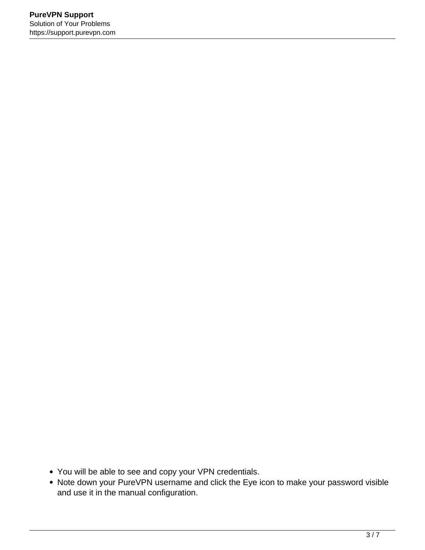- You will be able to see and copy your VPN credentials.
- Note down your PureVPN username and click the Eye icon to make your password visible and use it in the manual configuration.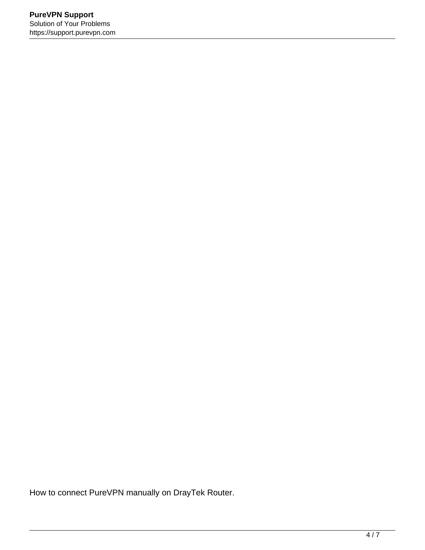How to connect PureVPN manually on DrayTek Router.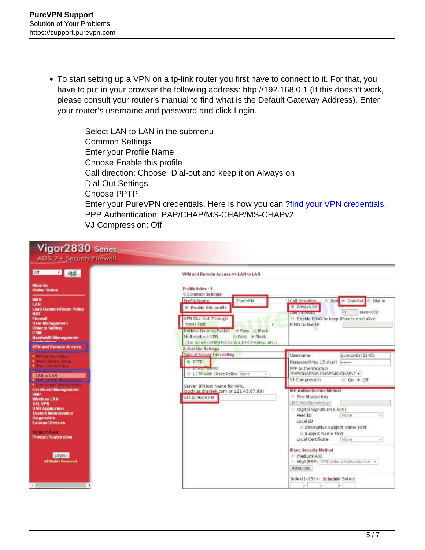To start setting up a VPN on a tp-link router you first have to connect to it. For that, you have to put in your browser the following address: http://192.168.0.1 (If this doesn't work, please consult your router's manual to find what is the Default Gateway Address). Enter your router's username and password and click Login.

> Select LAN to LAN in the submenu Common Settings Enter your Profile Name Choose Enable this profile Call direction: Choose Dial-out and keep it on Always on Dial-Out Settings Choose PPTP Enter your PureVPN credentials. Here is how you can ?find your VPN credentials. PPP Authentication: PAP/CHAP/MS-CHAP/MS-CHAPv2 VJ Compression: Off

| Vigor 2830 Series<br><b>ADSL2+ Security Firewall</b>                                                                                                                                          |                                                                                                                                                                                                                        |                                                                                                                                                                  |
|-----------------------------------------------------------------------------------------------------------------------------------------------------------------------------------------------|------------------------------------------------------------------------------------------------------------------------------------------------------------------------------------------------------------------------|------------------------------------------------------------------------------------------------------------------------------------------------------------------|
| <b>Off</b><br>$\cdot$ R6                                                                                                                                                                      | VPN and Remote Access >> LAN to LAN                                                                                                                                                                                    |                                                                                                                                                                  |
| <b>Wizards</b><br><b>Online Status</b><br><b>WAN</b><br>LAN<br><b>Load-Balance/Route Policy</b><br><b>NAT</b><br><b>Firewall</b><br><b>User Management</b>                                    | Profile Index: 1<br>1. Common Settings<br>Call Direction<br>Profile Name<br>PureVPN<br>Always on<br>P Enable this profile<br><b>MARKETING COM</b><br>VPN Dial-Out Through<br>WAN1 First<br>PING to the IP<br>$\bullet$ | Both ® Dial-Out<br><b>Dial-In</b><br>G.<br>second(s)<br>Enable PING to keep IPsec tunnel alive                                                                   |
| <b>Objects Setting</b><br><b>CSM</b><br><b>Bandwidth Management</b><br><b>VPN and Remote Access</b>                                                                                           | Netbios Naming Packet + Pass Block<br>Multicast via VPN<br>Pass Block<br>(for some IGMP, IP-Camera, DHCP Relayetc.)<br>2. Dial-Out Settings                                                                            |                                                                                                                                                                  |
| <b>PPP General Setup</b><br><b>Littee General Setup</b><br><b>Di Bread Peer Identity</b><br>LAN to LAN<br><b>ICH TOTING Mensey</b><br>Connection Manageme                                     | Type of Server Lam calling<br>Username<br><b>PPTP</b><br><b>News High ne</b><br>L2TP with IPsec Policy None<br>÷<br>VJ Compression                                                                                     | purevpn0s123456<br>Password(Max 15 char)<br>********<br>PPP Authentication<br>PAP/CHAP/MS-CHAP/MS-CHAPv2 +<br>O On @ Off                                         |
| <b>Certificate Management</b><br><b>VolP</b><br><b>Wireless LAN</b><br><b>SSL VPN</b><br><b>USB Application</b><br><b>System Maintenance</b><br><b>Diagnostics</b><br><b>External Devices</b> | Server IP/Host Name for VPN.<br>(such as draytek.com or 123.45.67.89)<br>us1.purevpn.net<br>Peer ID<br>Local ID                                                                                                        | <b>IKE Authentication Method</b><br>Pre-Shared Key<br>IKE Pre-Shared Key<br>Digital Signature(X.509)<br>None<br>$\mathbf{w}$ :<br>Alternative Subject Name First |
| <b>Support Area</b><br><b>Product Registration</b><br>Logout<br><b>All Rights Reserved.</b>                                                                                                   | * Medium(AH)<br>Advanced                                                                                                                                                                                               | Subject Name First<br>Local Certificate<br>None<br>Ψ.<br><b>IPsec Security Method</b><br>High(ESP) DES without Authentication .                                  |
|                                                                                                                                                                                               |                                                                                                                                                                                                                        | Index(1-15) in Schedule Setup:                                                                                                                                   |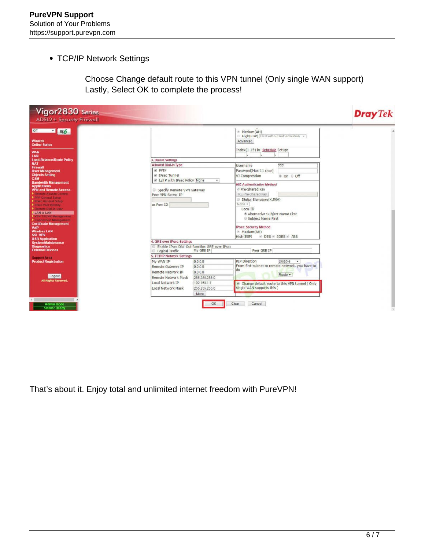• TCP/IP Network Settings

Choose Change default route to this VPN tunnel (Only single WAN support) Lastly, Select OK to complete the process!

| Vigor2830 Series<br><b>ADSL2+ Security Firewall</b>                                                                                                                                                                                                                                                                                                                                                                                                                                                                                                                                                                          |                                                                                                                                                                                                                                                                                                                                                                                                                                                                                                                                                                                                                                                                                | <b>Dray</b> Tek |
|------------------------------------------------------------------------------------------------------------------------------------------------------------------------------------------------------------------------------------------------------------------------------------------------------------------------------------------------------------------------------------------------------------------------------------------------------------------------------------------------------------------------------------------------------------------------------------------------------------------------------|--------------------------------------------------------------------------------------------------------------------------------------------------------------------------------------------------------------------------------------------------------------------------------------------------------------------------------------------------------------------------------------------------------------------------------------------------------------------------------------------------------------------------------------------------------------------------------------------------------------------------------------------------------------------------------|-----------------|
| of $\sqrt{100}$<br><b>Wizards</b><br><b>Online Status</b><br><b>WAN</b><br>LAN<br><b>Load-Balance/Route Policy</b><br><b>NAT</b><br><b>Firewall</b><br><b>User Management</b><br><b>Objects Setting</b><br><b>CSM</b><br><b>Bandwidth Management</b><br><b>Applications</b><br><b>VPN and Remote Access</b><br><b>Nemote Access Control</b><br>ppp General Setup<br><b>DiParc General Setup</b><br><b>Diffused Peer Identity</b><br><b>Comote Diskin User</b><br>LAN to LAN<br><b>NPN TRUNK Management</b><br>Connection Management<br><b>Certificate Management</b><br><b>VolP</b><br><b>Wireless LAN</b><br><b>SSL VPN</b> | Medium(AH)<br>High(ESP) DES without Authentication *<br>Advanced<br>Index(1-15) in Schedule Setup:<br>3. Dial-In Settings<br>Allowed Dial-In Type<br>Username<br>777<br>$\nu$ pp $\neg$<br>Password(Max 11 char)<br><b>2</b> IPsec Tunnel<br>VJ Compression<br>® On ⊙ Off<br>C L2TP with IPsec Policy None<br>$\mathbf{v}$<br><b>IKE Authentication Method</b><br>Pre-Shared Key<br>Specify Remote VPN Gateway<br>IKE Pre-Shared Key<br>Peer VPN Server IP<br>Digital Signature(X.509)<br>None +<br>or Peer ID<br>Local ID<br><sup>®</sup> Alternative Subject Name First<br>Subject Name First<br><b>IPsec Security Method</b><br>Medium(AH)<br>High(ESP)<br>DES # 3DES # AES |                 |
| <b>USB Application</b><br><b>System Maintenance</b><br><b>Diagnostics</b><br><b>External Devices</b><br><b>Support Area</b><br><b>Product Registration</b><br>Logout<br><b>All Rights Reserved.</b><br>$-1.11$                                                                                                                                                                                                                                                                                                                                                                                                               | 4. GRE over IPsec Settings<br>Enable IPsec Dial-Out function GRE over IPsec<br>My GRE IP<br>Peer GRE IP<br>Logical Traffic<br>5. TCP/IP Network Settings<br><b>RIP Direction</b><br>0.0.0.0<br>Disable<br>My WAN IP<br>From first subnet to remote network, you have to<br>Remote Gateway IP<br>0.0.0.0<br>do<br>Remote Network IP<br>0.0.0.0<br>Route ·<br>255 255 255.0<br>Remote Network Mask<br>Local Network IP<br>192.168.1.1<br>Change default route to this VPN tunnel (Only<br>single WAN supports this )<br>Local Network Mask<br>255 255 255.0<br>More.                                                                                                             | $\cdot$         |
| Admin mode<br><b>Status: Ready</b>                                                                                                                                                                                                                                                                                                                                                                                                                                                                                                                                                                                           | Cancel<br>Clear                                                                                                                                                                                                                                                                                                                                                                                                                                                                                                                                                                                                                                                                |                 |

That's about it. Enjoy total and unlimited internet freedom with PureVPN!